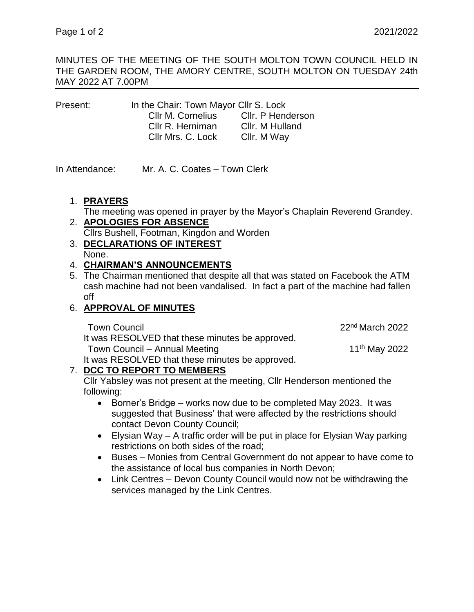MINUTES OF THE MEETING OF THE SOUTH MOLTON TOWN COUNCIL HELD IN THE GARDEN ROOM, THE AMORY CENTRE, SOUTH MOLTON ON TUESDAY 24th MAY 2022 AT 7.00PM

| Present: | In the Chair: Town Mayor Cllr S. Lock |                   |
|----------|---------------------------------------|-------------------|
|          | Cllr M. Cornelius                     | Cllr. P Henderson |
|          | Cllr R. Herniman                      | Cllr. M Hulland   |
|          | Cllr Mrs. C. Lock                     | Cllr. M Way       |

In Attendance: Mr. A. C. Coates – Town Clerk

## 1. **PRAYERS**

The meeting was opened in prayer by the Mayor's Chaplain Reverend Grandey.

2. **APOLOGIES FOR ABSENCE**

Cllrs Bushell, Footman, Kingdon and Worden

3. **DECLARATIONS OF INTEREST** None.

## 4. **CHAIRMAN'S ANNOUNCEMENTS**

5. The Chairman mentioned that despite all that was stated on Facebook the ATM cash machine had not been vandalised. In fact a part of the machine had fallen off

# 6. **APPROVAL OF MINUTES**

It was RESOLVED that these minutes be approved.

Town Council 2022 **Town Council** 

Town Council – Annual Meeting 11<sup>th</sup> May 2022

It was RESOLVED that these minutes be approved.

# 7. **DCC TO REPORT TO MEMBERS**

Cllr Yabsley was not present at the meeting, Cllr Henderson mentioned the following:

- Borner's Bridge works now due to be completed May 2023. It was suggested that Business' that were affected by the restrictions should contact Devon County Council;
- Elysian Way A traffic order will be put in place for Elysian Way parking restrictions on both sides of the road;
- Buses Monies from Central Government do not appear to have come to the assistance of local bus companies in North Devon;
- Link Centres Devon County Council would now not be withdrawing the services managed by the Link Centres.